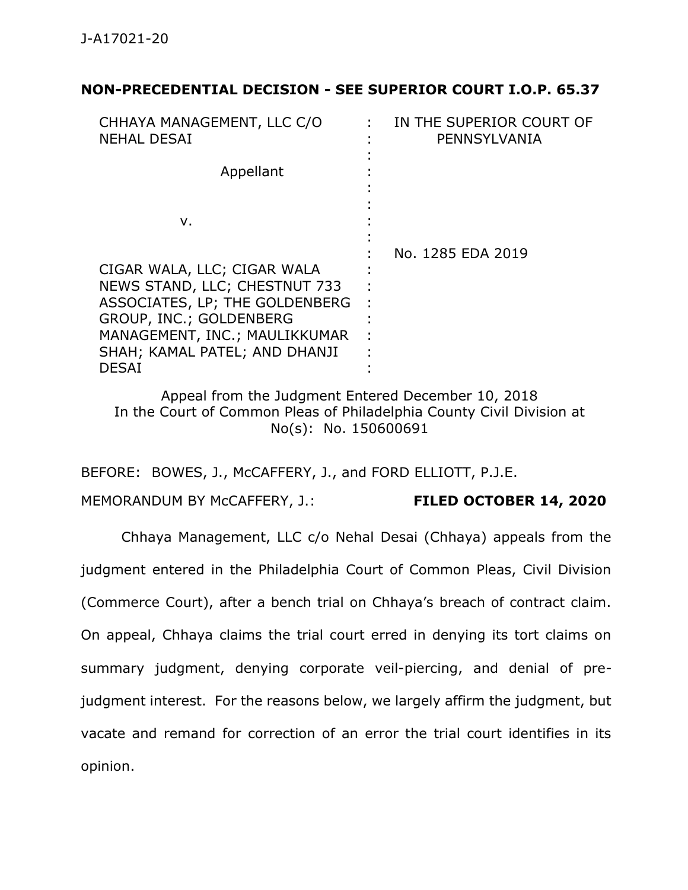#### **NON-PRECEDENTIAL DECISION - SEE SUPERIOR COURT I.O.P. 65.37**

| CHHAYA MANAGEMENT, LLC C/O<br><b>NEHAL DESAI</b>                                                                                                                                            | IN THE SUPERIOR COURT OF<br>PENNSYLVANIA |
|---------------------------------------------------------------------------------------------------------------------------------------------------------------------------------------------|------------------------------------------|
| Appellant                                                                                                                                                                                   |                                          |
| ν.                                                                                                                                                                                          |                                          |
| CIGAR WALA, LLC; CIGAR WALA<br>NEWS STAND, LLC; CHESTNUT 733<br>ASSOCIATES, LP; THE GOLDENBERG<br>GROUP, INC.; GOLDENBERG<br>MANAGEMENT, INC.; MAULIKKUMAR<br>SHAH; KAMAL PATEL; AND DHANJI | No. 1285 EDA 2019                        |
| <b>DESAI</b>                                                                                                                                                                                |                                          |

Appeal from the Judgment Entered December 10, 2018 In the Court of Common Pleas of Philadelphia County Civil Division at No(s): No. 150600691

BEFORE: BOWES, J., McCAFFERY, J., and FORD ELLIOTT, P.J.E.

MEMORANDUM BY McCAFFERY, J.: **FILED OCTOBER 14, 2020**

Chhaya Management, LLC c/o Nehal Desai (Chhaya) appeals from the judgment entered in the Philadelphia Court of Common Pleas, Civil Division (Commerce Court), after a bench trial on Chhaya's breach of contract claim. On appeal, Chhaya claims the trial court erred in denying its tort claims on summary judgment, denying corporate veil-piercing, and denial of prejudgment interest. For the reasons below, we largely affirm the judgment, but vacate and remand for correction of an error the trial court identifies in its opinion.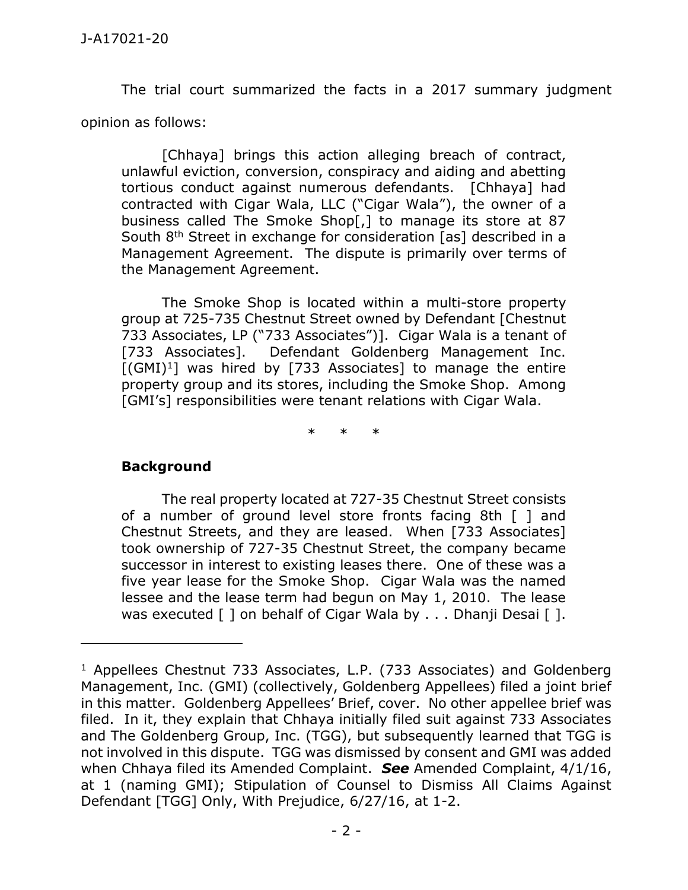The trial court summarized the facts in a 2017 summary judgment opinion as follows:

[Chhaya] brings this action alleging breach of contract, unlawful eviction, conversion, conspiracy and aiding and abetting tortious conduct against numerous defendants. [Chhaya] had contracted with Cigar Wala, LLC ("Cigar Wala"), the owner of a business called The Smoke Shop[,] to manage its store at 87 South 8<sup>th</sup> Street in exchange for consideration [as] described in a Management Agreement. The dispute is primarily over terms of the Management Agreement.

The Smoke Shop is located within a multi-store property group at 725-735 Chestnut Street owned by Defendant [Chestnut 733 Associates, LP ("733 Associates")]. Cigar Wala is a tenant of [733 Associates]. Defendant Goldenberg Management Inc.  $[(GMI)^1]$  was hired by [733 Associates] to manage the entire property group and its stores, including the Smoke Shop. Among [GMI's] responsibilities were tenant relations with Cigar Wala.

\* \* \*

## **Background**

 $\overline{a}$ 

The real property located at 727-35 Chestnut Street consists of a number of ground level store fronts facing 8th [ ] and Chestnut Streets, and they are leased. When [733 Associates] took ownership of 727-35 Chestnut Street, the company became successor in interest to existing leases there. One of these was a five year lease for the Smoke Shop. Cigar Wala was the named lessee and the lease term had begun on May 1, 2010. The lease was executed [ ] on behalf of Cigar Wala by . . . Dhanji Desai [ ].

<sup>&</sup>lt;sup>1</sup> Appellees Chestnut 733 Associates, L.P. (733 Associates) and Goldenberg Management, Inc. (GMI) (collectively, Goldenberg Appellees) filed a joint brief in this matter. Goldenberg Appellees' Brief, cover. No other appellee brief was filed. In it, they explain that Chhaya initially filed suit against 733 Associates and The Goldenberg Group, Inc. (TGG), but subsequently learned that TGG is not involved in this dispute. TGG was dismissed by consent and GMI was added when Chhaya filed its Amended Complaint. *See* Amended Complaint, 4/1/16, at 1 (naming GMI); Stipulation of Counsel to Dismiss All Claims Against Defendant [TGG] Only, With Prejudice, 6/27/16, at 1-2.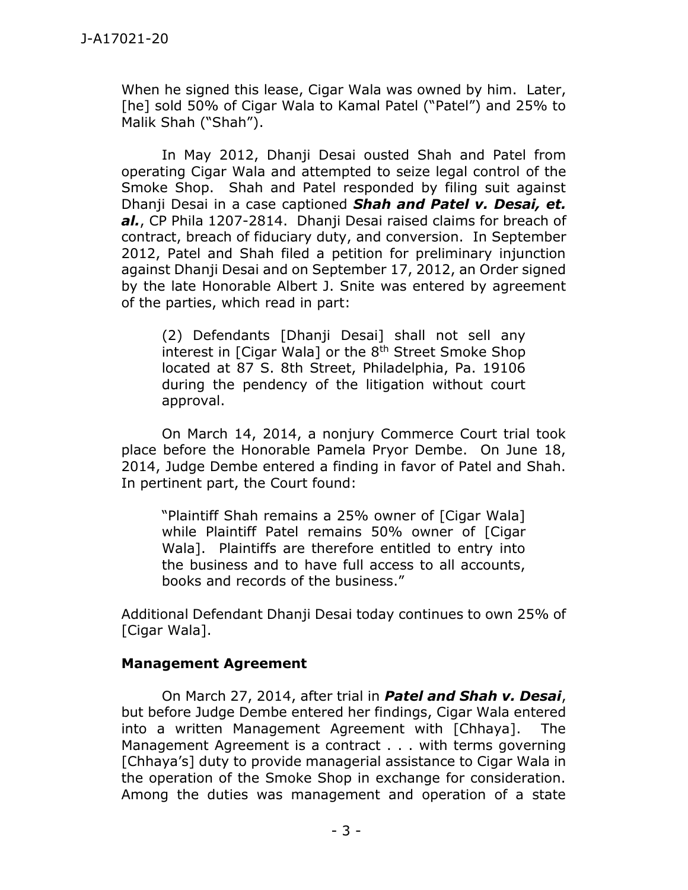When he signed this lease, Cigar Wala was owned by him. Later, [he] sold 50% of Cigar Wala to Kamal Patel ("Patel") and 25% to Malik Shah ("Shah").

In May 2012, Dhanji Desai ousted Shah and Patel from operating Cigar Wala and attempted to seize legal control of the Smoke Shop. Shah and Patel responded by filing suit against Dhanji Desai in a case captioned *Shah and Patel v. Desai, et. al.*, CP Phila 1207-2814. Dhanji Desai raised claims for breach of contract, breach of fiduciary duty, and conversion. In September 2012, Patel and Shah filed a petition for preliminary injunction against Dhanji Desai and on September 17, 2012, an Order signed by the late Honorable Albert J. Snite was entered by agreement of the parties, which read in part:

(2) Defendants [Dhanji Desai] shall not sell any interest in  $[Ciqar Wala]$  or the  $8<sup>th</sup>$  Street Smoke Shop located at 87 S. 8th Street, Philadelphia, Pa. 19106 during the pendency of the litigation without court approval.

On March 14, 2014, a nonjury Commerce Court trial took place before the Honorable Pamela Pryor Dembe. On June 18, 2014, Judge Dembe entered a finding in favor of Patel and Shah. In pertinent part, the Court found:

"Plaintiff Shah remains a 25% owner of [Cigar Wala] while Plaintiff Patel remains 50% owner of [Cigar Wala]. Plaintiffs are therefore entitled to entry into the business and to have full access to all accounts, books and records of the business."

Additional Defendant Dhanji Desai today continues to own 25% of [Cigar Wala].

## **Management Agreement**

On March 27, 2014, after trial in *Patel and Shah v. Desai*, but before Judge Dembe entered her findings, Cigar Wala entered into a written Management Agreement with [Chhaya]. The Management Agreement is a contract . . . with terms governing [Chhaya's] duty to provide managerial assistance to Cigar Wala in the operation of the Smoke Shop in exchange for consideration. Among the duties was management and operation of a state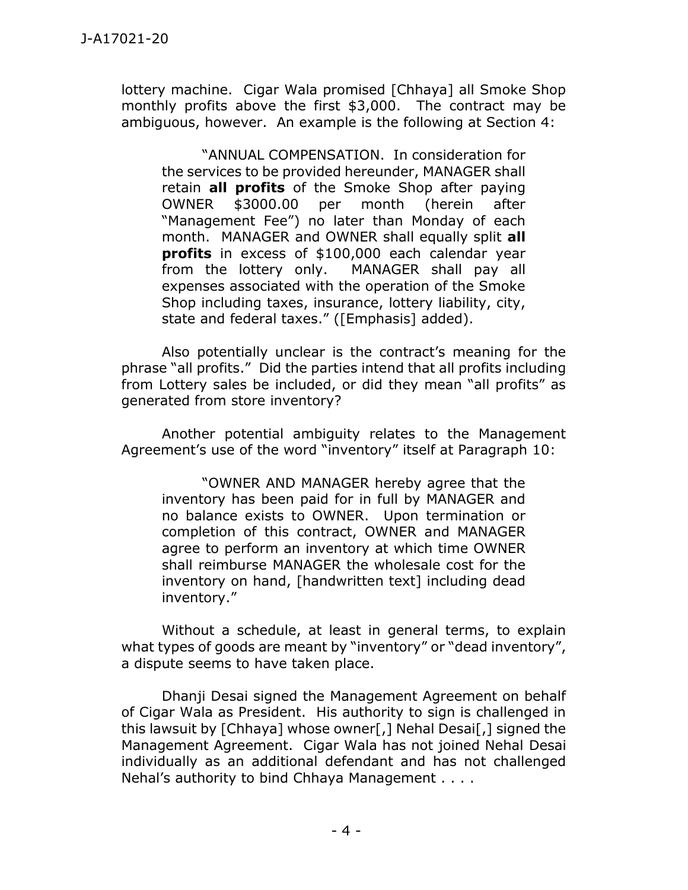lottery machine. Cigar Wala promised [Chhaya] all Smoke Shop monthly profits above the first \$3,000. The contract may be ambiguous, however. An example is the following at Section 4:

"ANNUAL COMPENSATION. In consideration for the services to be provided hereunder, MANAGER shall retain **all profits** of the Smoke Shop after paying OWNER \$3000.00 per month (herein after "Management Fee") no later than Monday of each month. MANAGER and OWNER shall equally split **all profits** in excess of \$100,000 each calendar year from the lottery only. MANAGER shall pay all expenses associated with the operation of the Smoke Shop including taxes, insurance, lottery liability, city, state and federal taxes." ([Emphasis] added).

Also potentially unclear is the contract's meaning for the phrase "all profits." Did the parties intend that all profits including from Lottery sales be included, or did they mean "all profits" as generated from store inventory?

Another potential ambiguity relates to the Management Agreement's use of the word "inventory" itself at Paragraph 10:

"OWNER AND MANAGER hereby agree that the inventory has been paid for in full by MANAGER and no balance exists to OWNER. Upon termination or completion of this contract, OWNER and MANAGER agree to perform an inventory at which time OWNER shall reimburse MANAGER the wholesale cost for the inventory on hand, [handwritten text] including dead inventory."

Without a schedule, at least in general terms, to explain what types of goods are meant by "inventory" or "dead inventory", a dispute seems to have taken place.

Dhanji Desai signed the Management Agreement on behalf of Cigar Wala as President. His authority to sign is challenged in this lawsuit by [Chhaya] whose owner[,] Nehal Desai[,] signed the Management Agreement. Cigar Wala has not joined Nehal Desai individually as an additional defendant and has not challenged Nehal's authority to bind Chhaya Management . . . .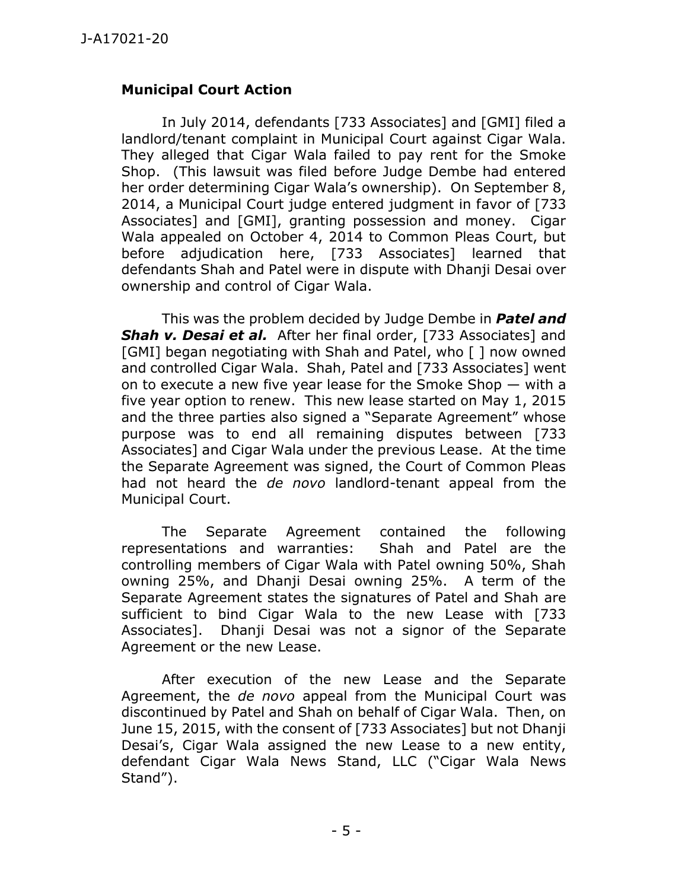## **Municipal Court Action**

In July 2014, defendants [733 Associates] and [GMI] filed a landlord/tenant complaint in Municipal Court against Cigar Wala. They alleged that Cigar Wala failed to pay rent for the Smoke Shop. (This lawsuit was filed before Judge Dembe had entered her order determining Cigar Wala's ownership). On September 8, 2014, a Municipal Court judge entered judgment in favor of [733 Associates] and [GMI], granting possession and money. Cigar Wala appealed on October 4, 2014 to Common Pleas Court, but before adjudication here, [733 Associates] learned that defendants Shah and Patel were in dispute with Dhanji Desai over ownership and control of Cigar Wala.

This was the problem decided by Judge Dembe in *Patel and Shah v. Desai et al.* After her final order, [733 Associates] and [GMI] began negotiating with Shah and Patel, who [ ] now owned and controlled Cigar Wala. Shah, Patel and [733 Associates] went on to execute a new five year lease for the Smoke Shop — with a five year option to renew. This new lease started on May 1, 2015 and the three parties also signed a "Separate Agreement" whose purpose was to end all remaining disputes between [733 Associates] and Cigar Wala under the previous Lease. At the time the Separate Agreement was signed, the Court of Common Pleas had not heard the *de novo* landlord-tenant appeal from the Municipal Court.

The Separate Agreement contained the following representations and warranties: Shah and Patel are the controlling members of Cigar Wala with Patel owning 50%, Shah owning 25%, and Dhanji Desai owning 25%. A term of the Separate Agreement states the signatures of Patel and Shah are sufficient to bind Cigar Wala to the new Lease with [733 Associates]. Dhanji Desai was not a signor of the Separate Agreement or the new Lease.

After execution of the new Lease and the Separate Agreement, the *de novo* appeal from the Municipal Court was discontinued by Patel and Shah on behalf of Cigar Wala. Then, on June 15, 2015, with the consent of [733 Associates] but not Dhanji Desai's, Cigar Wala assigned the new Lease to a new entity, defendant Cigar Wala News Stand, LLC ("Cigar Wala News Stand").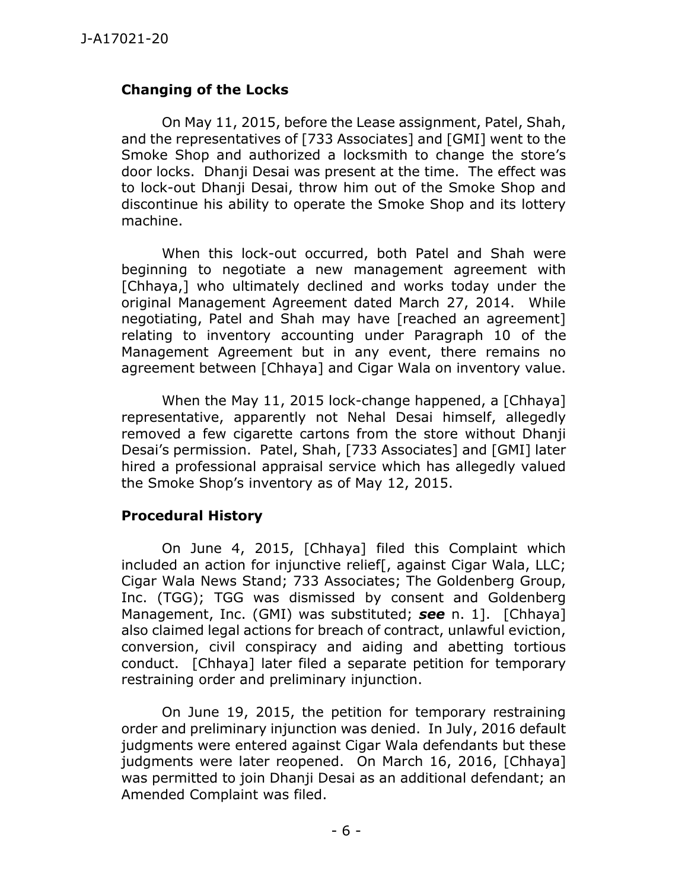## **Changing of the Locks**

On May 11, 2015, before the Lease assignment, Patel, Shah, and the representatives of [733 Associates] and [GMI] went to the Smoke Shop and authorized a locksmith to change the store's door locks. Dhanji Desai was present at the time. The effect was to lock-out Dhanji Desai, throw him out of the Smoke Shop and discontinue his ability to operate the Smoke Shop and its lottery machine.

When this lock-out occurred, both Patel and Shah were beginning to negotiate a new management agreement with [Chhaya,] who ultimately declined and works today under the original Management Agreement dated March 27, 2014. While negotiating, Patel and Shah may have [reached an agreement] relating to inventory accounting under Paragraph 10 of the Management Agreement but in any event, there remains no agreement between [Chhaya] and Cigar Wala on inventory value.

When the May 11, 2015 lock-change happened, a [Chhaya] representative, apparently not Nehal Desai himself, allegedly removed a few cigarette cartons from the store without Dhanji Desai's permission. Patel, Shah, [733 Associates] and [GMI] later hired a professional appraisal service which has allegedly valued the Smoke Shop's inventory as of May 12, 2015.

## **Procedural History**

On June 4, 2015, [Chhaya] filed this Complaint which included an action for injunctive relief[, against Cigar Wala, LLC; Cigar Wala News Stand; 733 Associates; The Goldenberg Group, Inc. (TGG); TGG was dismissed by consent and Goldenberg Management, Inc. (GMI) was substituted; *see* n. 1]. [Chhaya] also claimed legal actions for breach of contract, unlawful eviction, conversion, civil conspiracy and aiding and abetting tortious conduct. [Chhaya] later filed a separate petition for temporary restraining order and preliminary injunction.

On June 19, 2015, the petition for temporary restraining order and preliminary injunction was denied. In July, 2016 default judgments were entered against Cigar Wala defendants but these judgments were later reopened. On March 16, 2016, [Chhaya] was permitted to join Dhanji Desai as an additional defendant; an Amended Complaint was filed.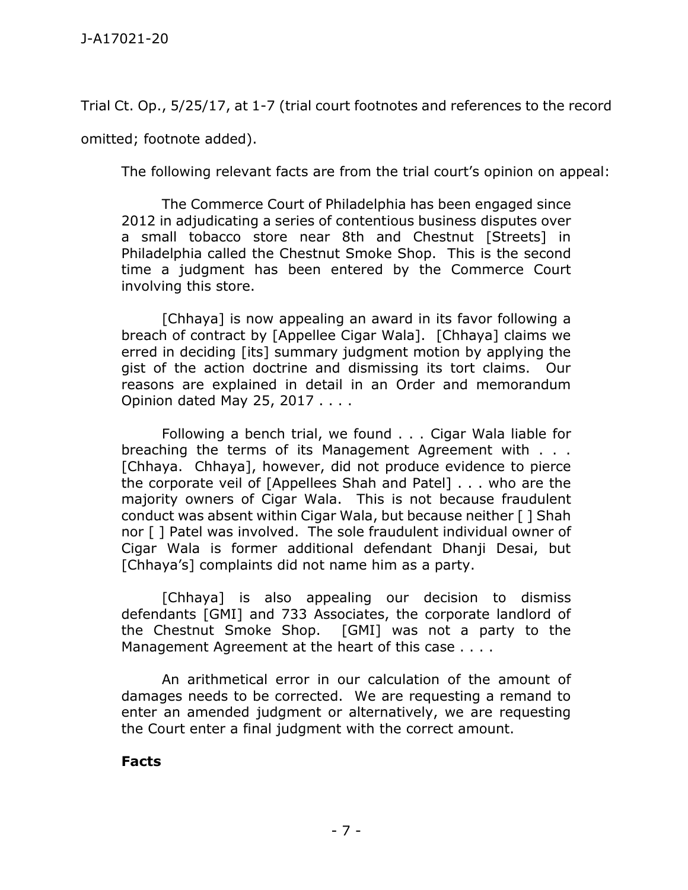Trial Ct. Op., 5/25/17, at 1-7 (trial court footnotes and references to the record omitted; footnote added).

The following relevant facts are from the trial court's opinion on appeal:

The Commerce Court of Philadelphia has been engaged since 2012 in adjudicating a series of contentious business disputes over a small tobacco store near 8th and Chestnut [Streets] in Philadelphia called the Chestnut Smoke Shop. This is the second time a judgment has been entered by the Commerce Court involving this store.

[Chhaya] is now appealing an award in its favor following a breach of contract by [Appellee Cigar Wala]. [Chhaya] claims we erred in deciding [its] summary judgment motion by applying the gist of the action doctrine and dismissing its tort claims. Our reasons are explained in detail in an Order and memorandum Opinion dated May 25, 2017 . . . .

Following a bench trial, we found . . . Cigar Wala liable for breaching the terms of its Management Agreement with . . . [Chhaya. Chhaya], however, did not produce evidence to pierce the corporate veil of [Appellees Shah and Patel] . . . who are the majority owners of Cigar Wala. This is not because fraudulent conduct was absent within Cigar Wala, but because neither [ ] Shah nor [ ] Patel was involved. The sole fraudulent individual owner of Cigar Wala is former additional defendant Dhanji Desai, but [Chhaya's] complaints did not name him as a party.

[Chhaya] is also appealing our decision to dismiss defendants [GMI] and 733 Associates, the corporate landlord of the Chestnut Smoke Shop. [GMI] was not a party to the Management Agreement at the heart of this case . . . .

An arithmetical error in our calculation of the amount of damages needs to be corrected. We are requesting a remand to enter an amended judgment or alternatively, we are requesting the Court enter a final judgment with the correct amount.

## **Facts**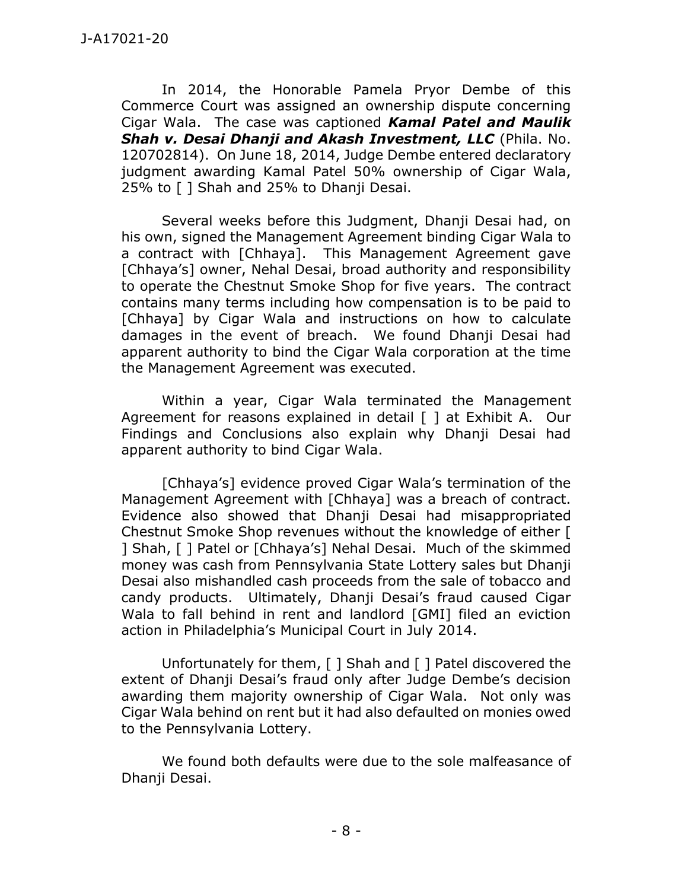In 2014, the Honorable Pamela Pryor Dembe of this Commerce Court was assigned an ownership dispute concerning Cigar Wala. The case was captioned *Kamal Patel and Maulik Shah v. Desai Dhanji and Akash Investment, LLC* (Phila. No. 120702814). On June 18, 2014, Judge Dembe entered declaratory judgment awarding Kamal Patel 50% ownership of Cigar Wala, 25% to [ ] Shah and 25% to Dhanji Desai.

Several weeks before this Judgment, Dhanji Desai had, on his own, signed the Management Agreement binding Cigar Wala to a contract with [Chhaya]. This Management Agreement gave [Chhaya's] owner, Nehal Desai, broad authority and responsibility to operate the Chestnut Smoke Shop for five years. The contract contains many terms including how compensation is to be paid to [Chhaya] by Cigar Wala and instructions on how to calculate damages in the event of breach. We found Dhanji Desai had apparent authority to bind the Cigar Wala corporation at the time the Management Agreement was executed.

Within a year, Cigar Wala terminated the Management Agreement for reasons explained in detail  $\lceil \cdot \rceil$  at Exhibit A. Our Findings and Conclusions also explain why Dhanji Desai had apparent authority to bind Cigar Wala.

[Chhaya's] evidence proved Cigar Wala's termination of the Management Agreement with [Chhaya] was a breach of contract. Evidence also showed that Dhanji Desai had misappropriated Chestnut Smoke Shop revenues without the knowledge of either [ ] Shah, [ ] Patel or [Chhaya's] Nehal Desai. Much of the skimmed money was cash from Pennsylvania State Lottery sales but Dhanji Desai also mishandled cash proceeds from the sale of tobacco and candy products. Ultimately, Dhanji Desai's fraud caused Cigar Wala to fall behind in rent and landlord [GMI] filed an eviction action in Philadelphia's Municipal Court in July 2014.

Unfortunately for them, [ ] Shah and [ ] Patel discovered the extent of Dhanji Desai's fraud only after Judge Dembe's decision awarding them majority ownership of Cigar Wala. Not only was Cigar Wala behind on rent but it had also defaulted on monies owed to the Pennsylvania Lottery.

We found both defaults were due to the sole malfeasance of Dhanji Desai.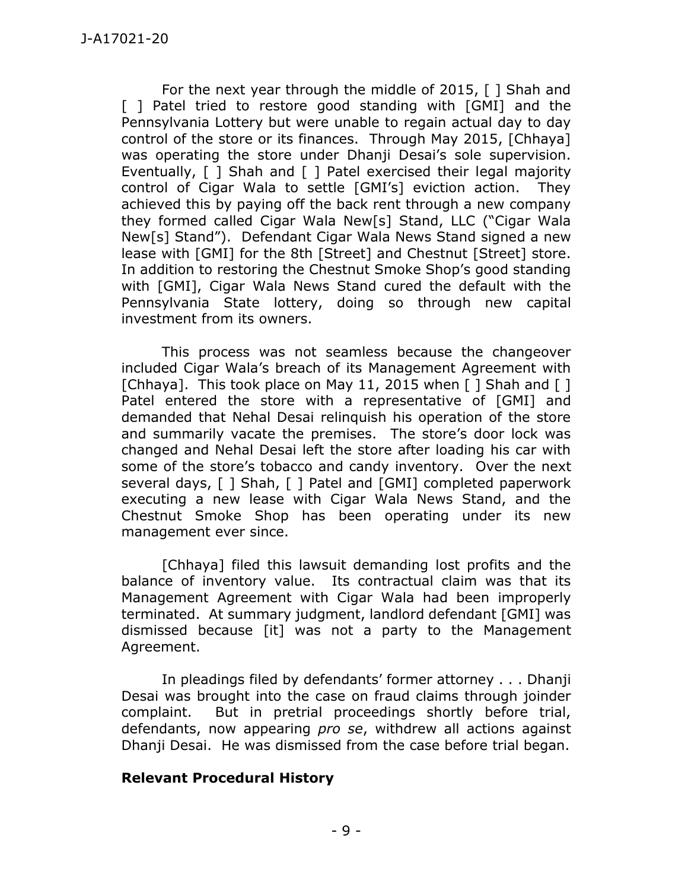For the next year through the middle of 2015, [ ] Shah and [ ] Patel tried to restore good standing with [GMI] and the Pennsylvania Lottery but were unable to regain actual day to day control of the store or its finances. Through May 2015, [Chhaya] was operating the store under Dhanii Desai's sole supervision. Eventually, [ ] Shah and [ ] Patel exercised their legal majority control of Cigar Wala to settle [GMI's] eviction action. They achieved this by paying off the back rent through a new company they formed called Cigar Wala New[s] Stand, LLC ("Cigar Wala New[s] Stand"). Defendant Cigar Wala News Stand signed a new lease with [GMI] for the 8th [Street] and Chestnut [Street] store. In addition to restoring the Chestnut Smoke Shop's good standing with [GMI], Cigar Wala News Stand cured the default with the Pennsylvania State lottery, doing so through new capital investment from its owners.

This process was not seamless because the changeover included Cigar Wala's breach of its Management Agreement with [Chhaya]. This took place on May 11, 2015 when [ ] Shah and [ ] Patel entered the store with a representative of [GMI] and demanded that Nehal Desai relinquish his operation of the store and summarily vacate the premises. The store's door lock was changed and Nehal Desai left the store after loading his car with some of the store's tobacco and candy inventory. Over the next several days, [ ] Shah, [ ] Patel and [GMI] completed paperwork executing a new lease with Cigar Wala News Stand, and the Chestnut Smoke Shop has been operating under its new management ever since.

[Chhaya] filed this lawsuit demanding lost profits and the balance of inventory value. Its contractual claim was that its Management Agreement with Cigar Wala had been improperly terminated. At summary judgment, landlord defendant [GMI] was dismissed because [it] was not a party to the Management Agreement.

In pleadings filed by defendants' former attorney . . . Dhanji Desai was brought into the case on fraud claims through joinder complaint. But in pretrial proceedings shortly before trial, defendants, now appearing *pro se*, withdrew all actions against Dhanji Desai. He was dismissed from the case before trial began.

## **Relevant Procedural History**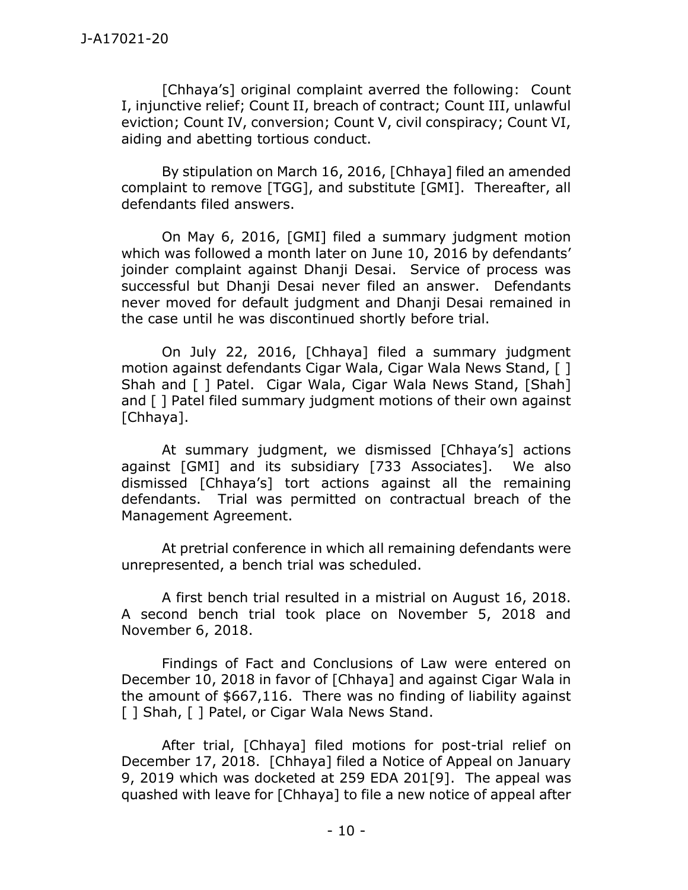[Chhaya's] original complaint averred the following: Count I, injunctive relief; Count II, breach of contract; Count III, unlawful eviction; Count IV, conversion; Count V, civil conspiracy; Count VI, aiding and abetting tortious conduct.

By stipulation on March 16, 2016, [Chhaya] filed an amended complaint to remove [TGG], and substitute [GMI]. Thereafter, all defendants filed answers.

On May 6, 2016, [GMI] filed a summary judgment motion which was followed a month later on June 10, 2016 by defendants' joinder complaint against Dhanji Desai. Service of process was successful but Dhanji Desai never filed an answer. Defendants never moved for default judgment and Dhanji Desai remained in the case until he was discontinued shortly before trial.

On July 22, 2016, [Chhaya] filed a summary judgment motion against defendants Cigar Wala, Cigar Wala News Stand, [ ] Shah and [ ] Patel. Cigar Wala, Cigar Wala News Stand, [Shah] and [ ] Patel filed summary judgment motions of their own against [Chhaya].

At summary judgment, we dismissed [Chhaya's] actions against [GMI] and its subsidiary [733 Associates]. We also dismissed [Chhaya's] tort actions against all the remaining defendants. Trial was permitted on contractual breach of the Management Agreement.

At pretrial conference in which all remaining defendants were unrepresented, a bench trial was scheduled.

A first bench trial resulted in a mistrial on August 16, 2018. A second bench trial took place on November 5, 2018 and November 6, 2018.

Findings of Fact and Conclusions of Law were entered on December 10, 2018 in favor of [Chhaya] and against Cigar Wala in the amount of \$667,116. There was no finding of liability against [ ] Shah, [ ] Patel, or Cigar Wala News Stand.

After trial, [Chhaya] filed motions for post-trial relief on December 17, 2018. [Chhaya] filed a Notice of Appeal on January 9, 2019 which was docketed at 259 EDA 201[9]. The appeal was quashed with leave for [Chhaya] to file a new notice of appeal after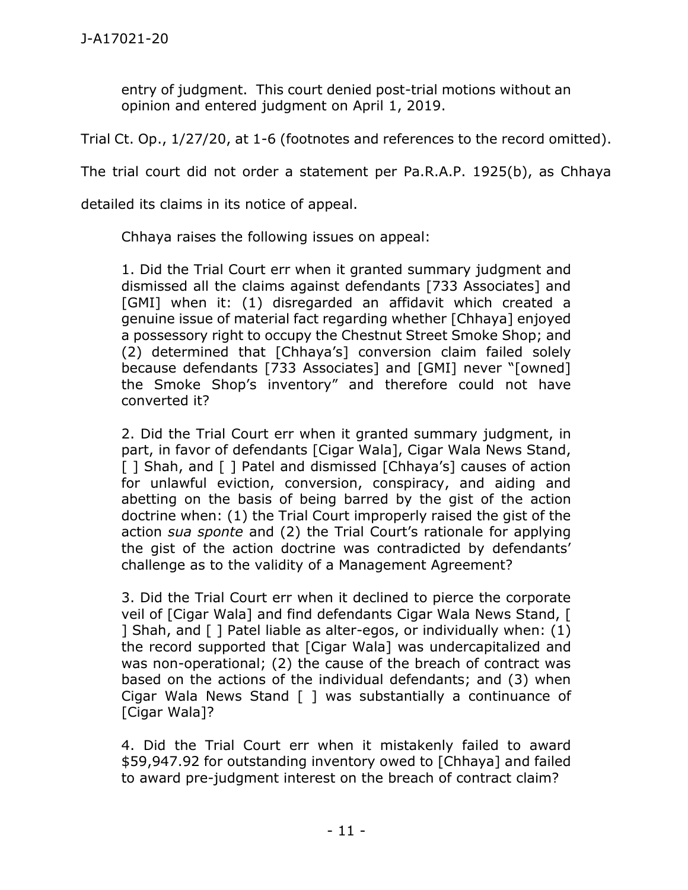entry of judgment. This court denied post-trial motions without an opinion and entered judgment on April 1, 2019.

Trial Ct. Op., 1/27/20, at 1-6 (footnotes and references to the record omitted).

The trial court did not order a statement per Pa.R.A.P. 1925(b), as Chhaya

detailed its claims in its notice of appeal.

Chhaya raises the following issues on appeal:

1. Did the Trial Court err when it granted summary judgment and dismissed all the claims against defendants [733 Associates] and [GMI] when it: (1) disregarded an affidavit which created a genuine issue of material fact regarding whether [Chhaya] enjoyed a possessory right to occupy the Chestnut Street Smoke Shop; and (2) determined that [Chhaya's] conversion claim failed solely because defendants [733 Associates] and [GMI] never "[owned] the Smoke Shop's inventory" and therefore could not have converted it?

2. Did the Trial Court err when it granted summary judgment, in part, in favor of defendants [Cigar Wala], Cigar Wala News Stand, [ ] Shah, and [ ] Patel and dismissed [Chhaya's] causes of action for unlawful eviction, conversion, conspiracy, and aiding and abetting on the basis of being barred by the gist of the action doctrine when: (1) the Trial Court improperly raised the gist of the action *sua sponte* and (2) the Trial Court's rationale for applying the gist of the action doctrine was contradicted by defendants' challenge as to the validity of a Management Agreement?

3. Did the Trial Court err when it declined to pierce the corporate veil of [Cigar Wala] and find defendants Cigar Wala News Stand, [ ] Shah, and [ ] Patel liable as alter-egos, or individually when: (1) the record supported that [Cigar Wala] was undercapitalized and was non-operational; (2) the cause of the breach of contract was based on the actions of the individual defendants; and (3) when Cigar Wala News Stand [ ] was substantially a continuance of [Cigar Wala]?

4. Did the Trial Court err when it mistakenly failed to award \$59,947.92 for outstanding inventory owed to [Chhaya] and failed to award pre-judgment interest on the breach of contract claim?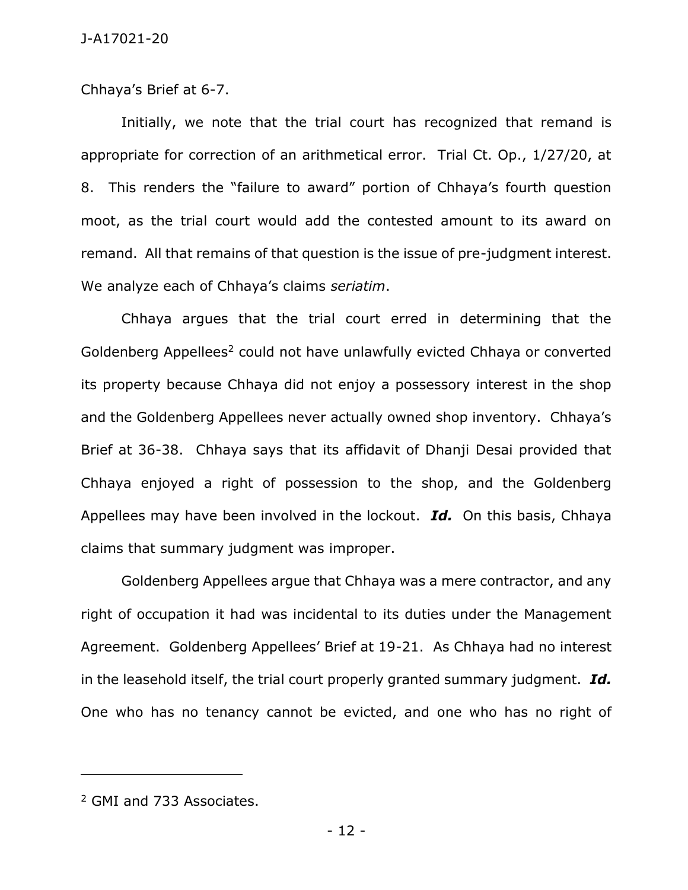Chhaya's Brief at 6-7.

Initially, we note that the trial court has recognized that remand is appropriate for correction of an arithmetical error. Trial Ct. Op., 1/27/20, at 8. This renders the "failure to award" portion of Chhaya's fourth question moot, as the trial court would add the contested amount to its award on remand. All that remains of that question is the issue of pre-judgment interest. We analyze each of Chhaya's claims *seriatim*.

Chhaya argues that the trial court erred in determining that the Goldenberg Appellees<sup>2</sup> could not have unlawfully evicted Chhaya or converted its property because Chhaya did not enjoy a possessory interest in the shop and the Goldenberg Appellees never actually owned shop inventory. Chhaya's Brief at 36-38. Chhaya says that its affidavit of Dhanji Desai provided that Chhaya enjoyed a right of possession to the shop, and the Goldenberg Appellees may have been involved in the lockout. *Id.* On this basis, Chhaya claims that summary judgment was improper.

Goldenberg Appellees argue that Chhaya was a mere contractor, and any right of occupation it had was incidental to its duties under the Management Agreement. Goldenberg Appellees' Brief at 19-21. As Chhaya had no interest in the leasehold itself, the trial court properly granted summary judgment. *Id.* One who has no tenancy cannot be evicted, and one who has no right of

 $\overline{a}$ 

<sup>2</sup> GMI and 733 Associates.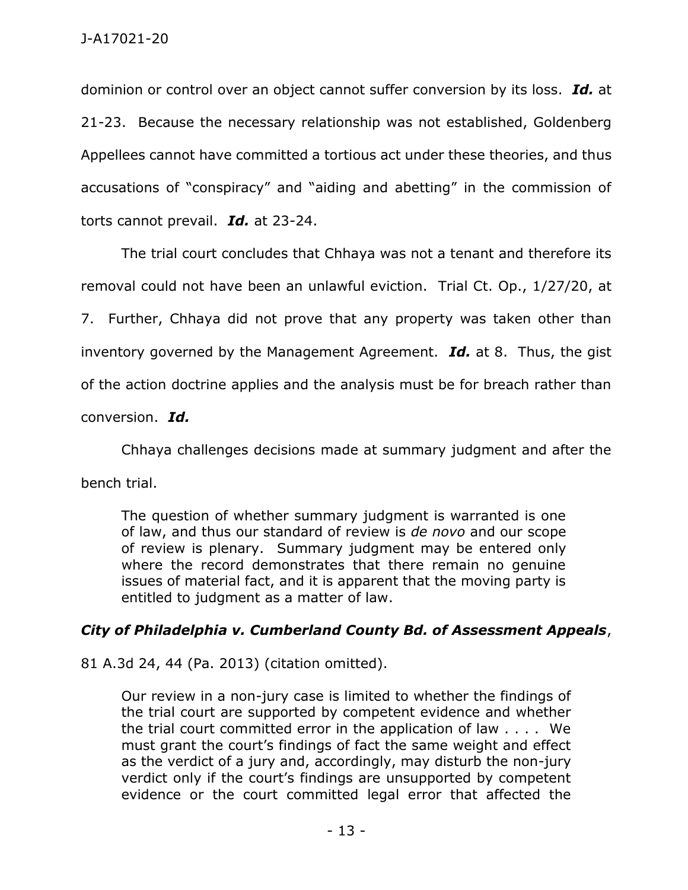dominion or control over an object cannot suffer conversion by its loss. *Id.* at 21-23. Because the necessary relationship was not established, Goldenberg Appellees cannot have committed a tortious act under these theories, and thus accusations of "conspiracy" and "aiding and abetting" in the commission of torts cannot prevail. *Id.* at 23-24.

The trial court concludes that Chhaya was not a tenant and therefore its removal could not have been an unlawful eviction. Trial Ct. Op., 1/27/20, at 7. Further, Chhaya did not prove that any property was taken other than inventory governed by the Management Agreement. *Id.* at 8. Thus, the gist of the action doctrine applies and the analysis must be for breach rather than conversion. *Id.*

Chhaya challenges decisions made at summary judgment and after the bench trial.

The question of whether summary judgment is warranted is one of law, and thus our standard of review is *de novo* and our scope of review is plenary. Summary judgment may be entered only where the record demonstrates that there remain no genuine issues of material fact, and it is apparent that the moving party is entitled to judgment as a matter of law.

## *City of Philadelphia v. Cumberland County Bd. of Assessment Appeals*,

81 A.3d 24, 44 (Pa. 2013) (citation omitted).

Our review in a non-jury case is limited to whether the findings of the trial court are supported by competent evidence and whether the trial court committed error in the application of law . . . . We must grant the court's findings of fact the same weight and effect as the verdict of a jury and, accordingly, may disturb the non-jury verdict only if the court's findings are unsupported by competent evidence or the court committed legal error that affected the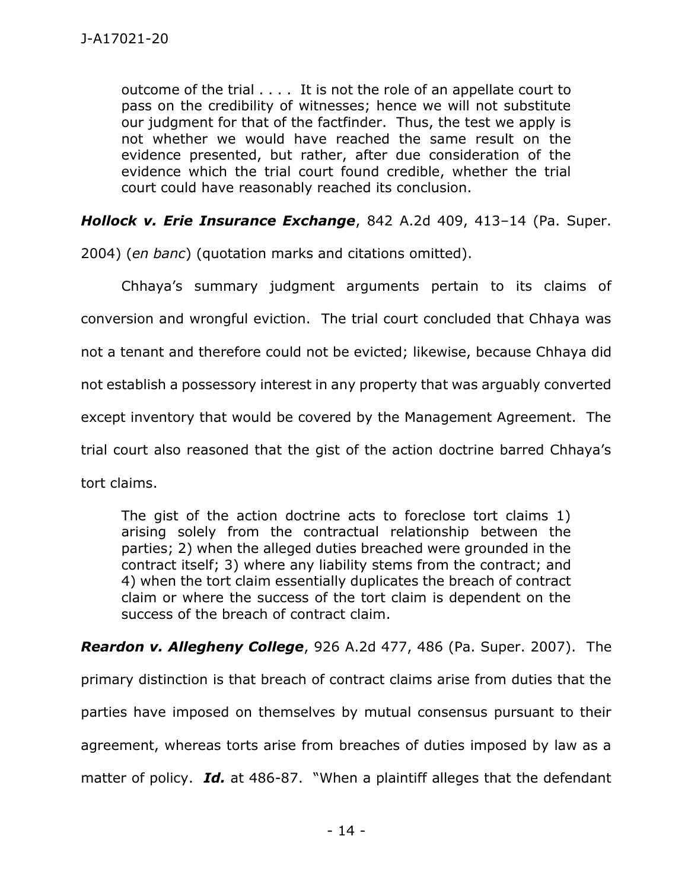outcome of the trial . . . . It is not the role of an appellate court to pass on the credibility of witnesses; hence we will not substitute our judgment for that of the factfinder. Thus, the test we apply is not whether we would have reached the same result on the evidence presented, but rather, after due consideration of the evidence which the trial court found credible, whether the trial court could have reasonably reached its conclusion.

*Hollock v. Erie Insurance Exchange*, 842 A.2d 409, 413–14 (Pa. Super.

2004) (*en banc*) (quotation marks and citations omitted).

Chhaya's summary judgment arguments pertain to its claims of conversion and wrongful eviction. The trial court concluded that Chhaya was not a tenant and therefore could not be evicted; likewise, because Chhaya did not establish a possessory interest in any property that was arguably converted except inventory that would be covered by the Management Agreement. The trial court also reasoned that the gist of the action doctrine barred Chhaya's tort claims.

The gist of the action doctrine acts to foreclose tort claims 1) arising solely from the contractual relationship between the parties; 2) when the alleged duties breached were grounded in the contract itself; 3) where any liability stems from the contract; and 4) when the tort claim essentially duplicates the breach of contract claim or where the success of the tort claim is dependent on the success of the breach of contract claim.

*Reardon v. Allegheny College*, 926 A.2d 477, 486 (Pa. Super. 2007). The primary distinction is that breach of contract claims arise from duties that the parties have imposed on themselves by mutual consensus pursuant to their agreement, whereas torts arise from breaches of duties imposed by law as a matter of policy. *Id.* at 486-87. "When a plaintiff alleges that the defendant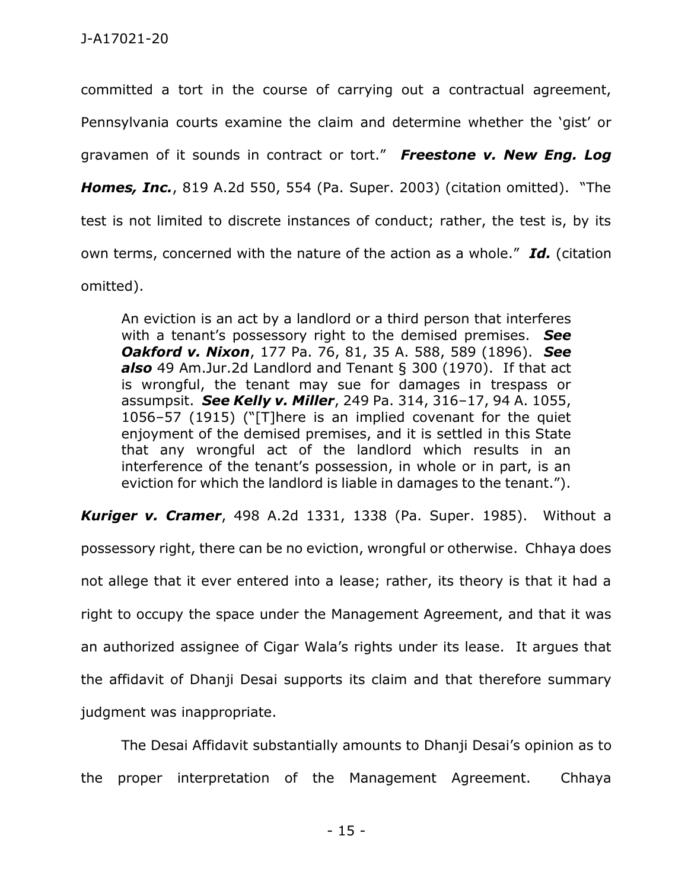committed a tort in the course of carrying out a contractual agreement, Pennsylvania courts examine the claim and determine whether the 'gist' or gravamen of it sounds in contract or tort." *Freestone v. New Eng. Log Homes, Inc.*, 819 A.2d 550, 554 (Pa. Super. 2003) (citation omitted). "The test is not limited to discrete instances of conduct; rather, the test is, by its own terms, concerned with the nature of the action as a whole." *Id.* (citation omitted).

An eviction is an act by a landlord or a third person that interferes with a tenant's possessory right to the demised premises. *See Oakford v. Nixon*, 177 Pa. 76, 81, 35 A. 588, 589 (1896). *See also* 49 Am.Jur.2d Landlord and Tenant § 300 (1970). If that act is wrongful, the tenant may sue for damages in trespass or assumpsit. *See Kelly v. Miller*, 249 Pa. 314, 316–17, 94 A. 1055, 1056–57 (1915) ("[T]here is an implied covenant for the quiet enjoyment of the demised premises, and it is settled in this State that any wrongful act of the landlord which results in an interference of the tenant's possession, in whole or in part, is an eviction for which the landlord is liable in damages to the tenant.").

*Kuriger v. Cramer*, 498 A.2d 1331, 1338 (Pa. Super. 1985). Without a possessory right, there can be no eviction, wrongful or otherwise. Chhaya does not allege that it ever entered into a lease; rather, its theory is that it had a right to occupy the space under the Management Agreement, and that it was an authorized assignee of Cigar Wala's rights under its lease. It argues that the affidavit of Dhanji Desai supports its claim and that therefore summary judgment was inappropriate.

The Desai Affidavit substantially amounts to Dhanji Desai's opinion as to the proper interpretation of the Management Agreement. Chhaya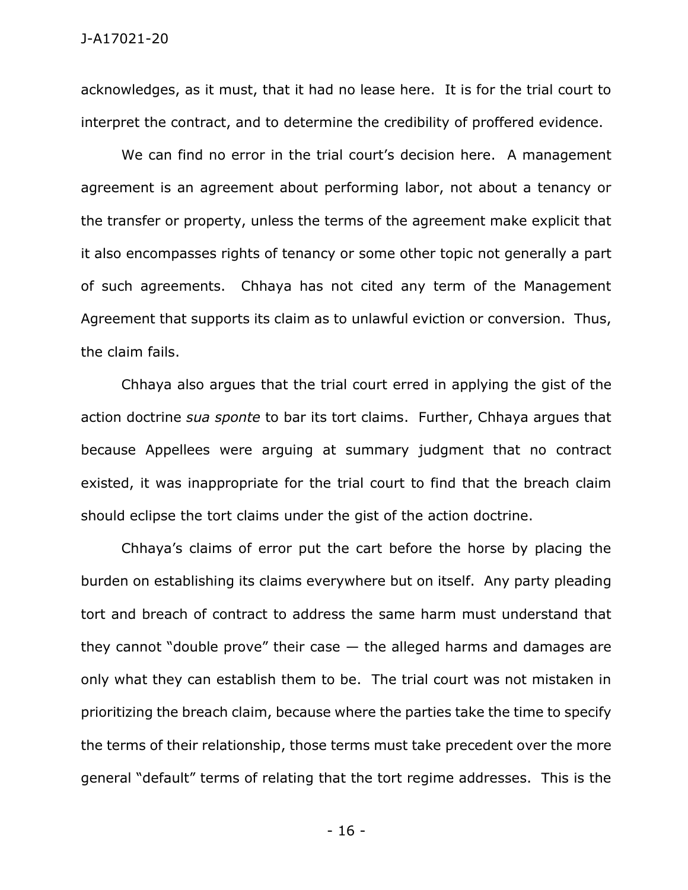acknowledges, as it must, that it had no lease here. It is for the trial court to interpret the contract, and to determine the credibility of proffered evidence.

We can find no error in the trial court's decision here. A management agreement is an agreement about performing labor, not about a tenancy or the transfer or property, unless the terms of the agreement make explicit that it also encompasses rights of tenancy or some other topic not generally a part of such agreements. Chhaya has not cited any term of the Management Agreement that supports its claim as to unlawful eviction or conversion. Thus, the claim fails.

Chhaya also argues that the trial court erred in applying the gist of the action doctrine *sua sponte* to bar its tort claims. Further, Chhaya argues that because Appellees were arguing at summary judgment that no contract existed, it was inappropriate for the trial court to find that the breach claim should eclipse the tort claims under the gist of the action doctrine.

Chhaya's claims of error put the cart before the horse by placing the burden on establishing its claims everywhere but on itself. Any party pleading tort and breach of contract to address the same harm must understand that they cannot "double prove" their case  $-$  the alleged harms and damages are only what they can establish them to be. The trial court was not mistaken in prioritizing the breach claim, because where the parties take the time to specify the terms of their relationship, those terms must take precedent over the more general "default" terms of relating that the tort regime addresses. This is the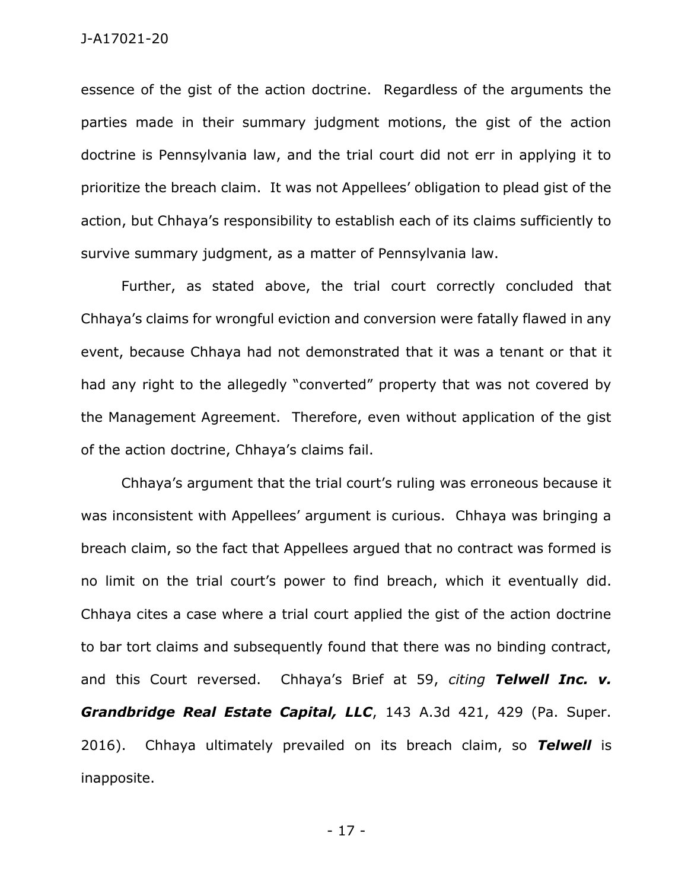essence of the gist of the action doctrine. Regardless of the arguments the parties made in their summary judgment motions, the gist of the action doctrine is Pennsylvania law, and the trial court did not err in applying it to prioritize the breach claim. It was not Appellees' obligation to plead gist of the action, but Chhaya's responsibility to establish each of its claims sufficiently to survive summary judgment, as a matter of Pennsylvania law.

Further, as stated above, the trial court correctly concluded that Chhaya's claims for wrongful eviction and conversion were fatally flawed in any event, because Chhaya had not demonstrated that it was a tenant or that it had any right to the allegedly "converted" property that was not covered by the Management Agreement. Therefore, even without application of the gist of the action doctrine, Chhaya's claims fail.

Chhaya's argument that the trial court's ruling was erroneous because it was inconsistent with Appellees' argument is curious. Chhaya was bringing a breach claim, so the fact that Appellees argued that no contract was formed is no limit on the trial court's power to find breach, which it eventually did. Chhaya cites a case where a trial court applied the gist of the action doctrine to bar tort claims and subsequently found that there was no binding contract, and this Court reversed. Chhaya's Brief at 59, *citing Telwell Inc. v. Grandbridge Real Estate Capital, LLC*, 143 A.3d 421, 429 (Pa. Super. 2016). Chhaya ultimately prevailed on its breach claim, so *Telwell* is inapposite.

- 17 -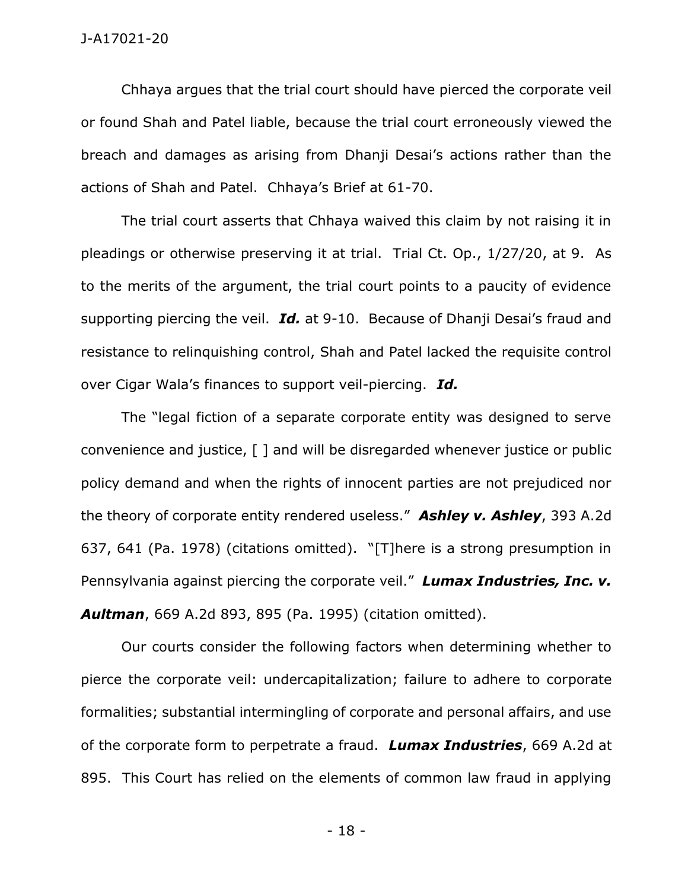Chhaya argues that the trial court should have pierced the corporate veil or found Shah and Patel liable, because the trial court erroneously viewed the breach and damages as arising from Dhanji Desai's actions rather than the actions of Shah and Patel. Chhaya's Brief at 61-70.

The trial court asserts that Chhaya waived this claim by not raising it in pleadings or otherwise preserving it at trial. Trial Ct. Op., 1/27/20, at 9. As to the merits of the argument, the trial court points to a paucity of evidence supporting piercing the veil. *Id.* at 9-10. Because of Dhanji Desai's fraud and resistance to relinquishing control, Shah and Patel lacked the requisite control over Cigar Wala's finances to support veil-piercing. *Id.*

The "legal fiction of a separate corporate entity was designed to serve convenience and justice, [ ] and will be disregarded whenever justice or public policy demand and when the rights of innocent parties are not prejudiced nor the theory of corporate entity rendered useless." *Ashley v. Ashley*, 393 A.2d 637, 641 (Pa. 1978) (citations omitted). "[T]here is a strong presumption in Pennsylvania against piercing the corporate veil." *Lumax Industries, Inc. v. Aultman*, 669 A.2d 893, 895 (Pa. 1995) (citation omitted).

Our courts consider the following factors when determining whether to pierce the corporate veil: undercapitalization; failure to adhere to corporate formalities; substantial intermingling of corporate and personal affairs, and use of the corporate form to perpetrate a fraud. *Lumax Industries*, 669 A.2d at 895. This Court has relied on the elements of common law fraud in applying

- 18 -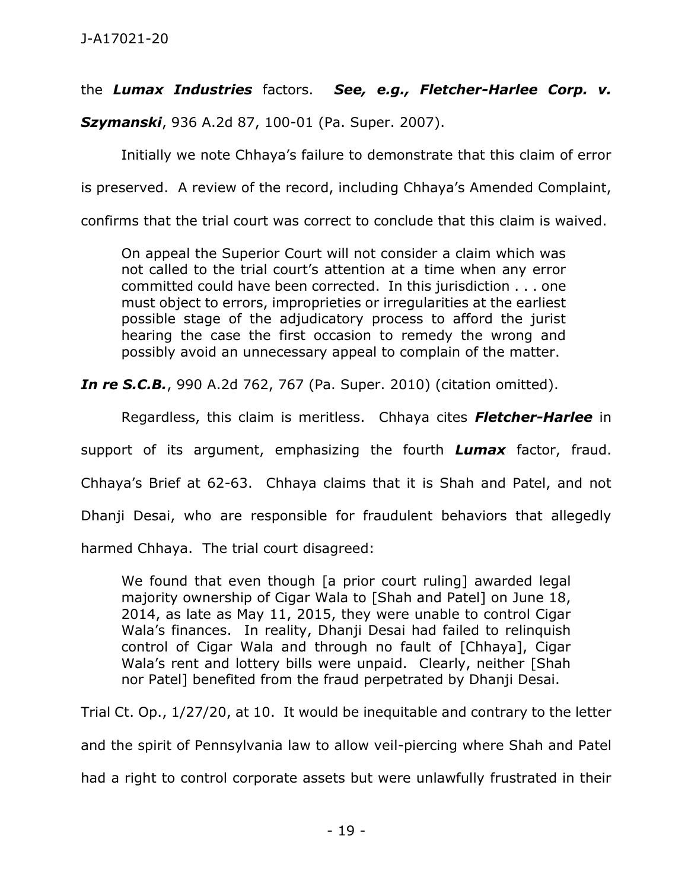# the *Lumax Industries* factors. *See, e.g., Fletcher-Harlee Corp. v.*

*Szymanski*, 936 A.2d 87, 100-01 (Pa. Super. 2007).

Initially we note Chhaya's failure to demonstrate that this claim of error

is preserved. A review of the record, including Chhaya's Amended Complaint,

confirms that the trial court was correct to conclude that this claim is waived.

On appeal the Superior Court will not consider a claim which was not called to the trial court's attention at a time when any error committed could have been corrected. In this jurisdiction . . . one must object to errors, improprieties or irregularities at the earliest possible stage of the adjudicatory process to afford the jurist hearing the case the first occasion to remedy the wrong and possibly avoid an unnecessary appeal to complain of the matter.

*In re S.C.B.*, 990 A.2d 762, 767 (Pa. Super. 2010) (citation omitted).

Regardless, this claim is meritless. Chhaya cites *Fletcher-Harlee* in support of its argument, emphasizing the fourth *Lumax* factor, fraud. Chhaya's Brief at 62-63. Chhaya claims that it is Shah and Patel, and not Dhanji Desai, who are responsible for fraudulent behaviors that allegedly harmed Chhaya. The trial court disagreed:

We found that even though [a prior court ruling] awarded legal majority ownership of Cigar Wala to [Shah and Patel] on June 18, 2014, as late as May 11, 2015, they were unable to control Cigar Wala's finances. In reality, Dhanji Desai had failed to relinquish control of Cigar Wala and through no fault of [Chhaya], Cigar Wala's rent and lottery bills were unpaid. Clearly, neither [Shah nor Patel] benefited from the fraud perpetrated by Dhanji Desai.

Trial Ct. Op., 1/27/20, at 10. It would be inequitable and contrary to the letter and the spirit of Pennsylvania law to allow veil-piercing where Shah and Patel had a right to control corporate assets but were unlawfully frustrated in their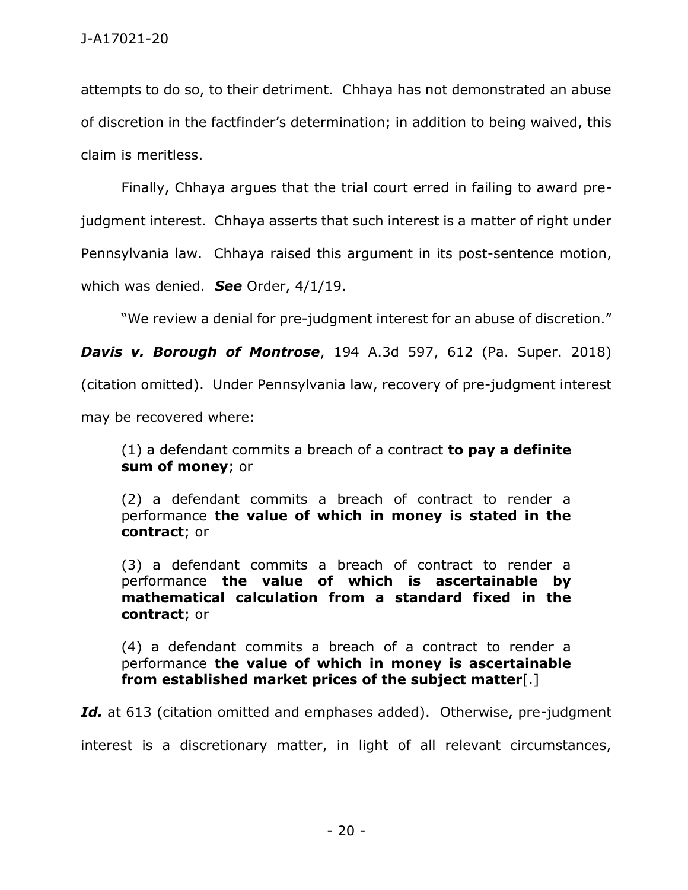attempts to do so, to their detriment. Chhaya has not demonstrated an abuse of discretion in the factfinder's determination; in addition to being waived, this claim is meritless.

Finally, Chhaya argues that the trial court erred in failing to award prejudgment interest. Chhaya asserts that such interest is a matter of right under Pennsylvania law. Chhaya raised this argument in its post-sentence motion, which was denied. *See* Order, 4/1/19.

"We review a denial for pre-judgment interest for an abuse of discretion."

*Davis v. Borough of Montrose*, 194 A.3d 597, 612 (Pa. Super. 2018)

(citation omitted). Under Pennsylvania law, recovery of pre-judgment interest

may be recovered where:

(1) a defendant commits a breach of a contract **to pay a definite sum of money**; or

(2) a defendant commits a breach of contract to render a performance **the value of which in money is stated in the contract**; or

(3) a defendant commits a breach of contract to render a performance **the value of which is ascertainable by mathematical calculation from a standard fixed in the contract**; or

(4) a defendant commits a breach of a contract to render a performance **the value of which in money is ascertainable from established market prices of the subject matter**[.]

*Id.* at 613 (citation omitted and emphases added). Otherwise, pre-judgment

interest is a discretionary matter, in light of all relevant circumstances,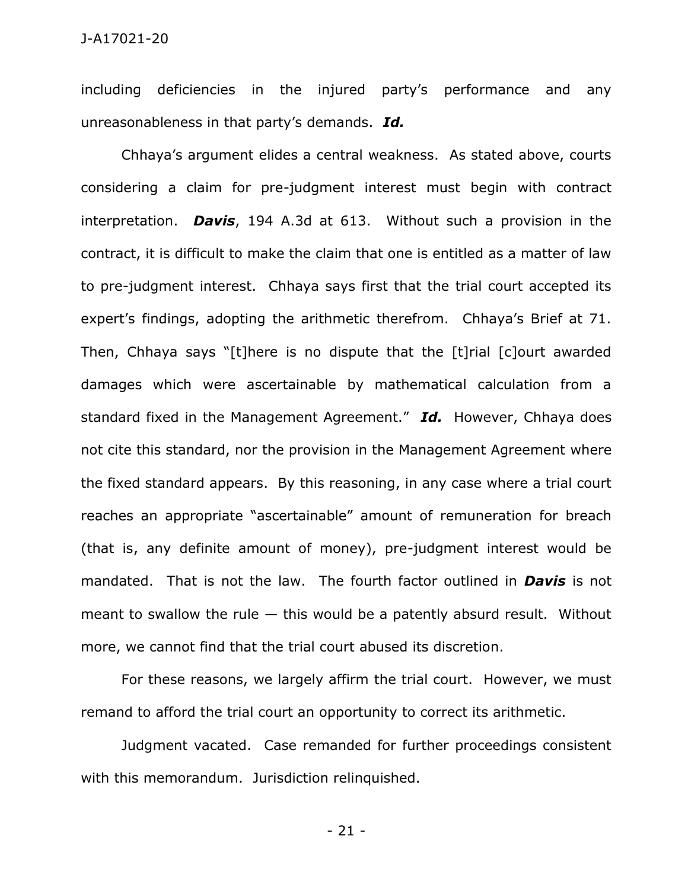#### J-A17021-20

including deficiencies in the injured party's performance and any unreasonableness in that party's demands. *Id.*

Chhaya's argument elides a central weakness. As stated above, courts considering a claim for pre-judgment interest must begin with contract interpretation. *Davis*, 194 A.3d at 613. Without such a provision in the contract, it is difficult to make the claim that one is entitled as a matter of law to pre-judgment interest. Chhaya says first that the trial court accepted its expert's findings, adopting the arithmetic therefrom. Chhaya's Brief at 71. Then, Chhaya says "[t]here is no dispute that the [t]rial [c]ourt awarded damages which were ascertainable by mathematical calculation from a standard fixed in the Management Agreement." *Id.* However, Chhaya does not cite this standard, nor the provision in the Management Agreement where the fixed standard appears. By this reasoning, in any case where a trial court reaches an appropriate "ascertainable" amount of remuneration for breach (that is, any definite amount of money), pre-judgment interest would be mandated. That is not the law. The fourth factor outlined in *Davis* is not meant to swallow the rule  $-$  this would be a patently absurd result. Without more, we cannot find that the trial court abused its discretion.

For these reasons, we largely affirm the trial court. However, we must remand to afford the trial court an opportunity to correct its arithmetic.

Judgment vacated. Case remanded for further proceedings consistent with this memorandum. Jurisdiction relinquished.

- 21 -